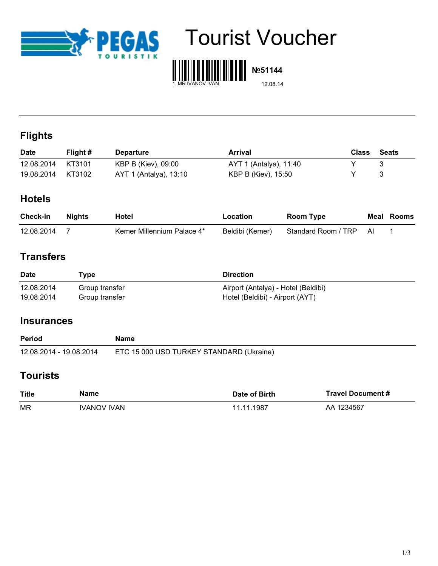



**№51144**

# **Flights**

| <b>Date</b> | Flight # | <b>Departure</b>       | Arrival                | Class | Seats |
|-------------|----------|------------------------|------------------------|-------|-------|
| 12.08.2014  | KT3101   | KBP B (Kiev), 09:00    | AYT 1 (Antalya), 11:40 |       |       |
| 19.08.2014  | KT3102   | AYT 1 (Antalya), 13:10 | KBP B (Kiev), 15:50    |       |       |

## **Hotels**

| <b>Check-in</b> | Niahts | Hotel                      | Location        | Room Type           |    | Meal Rooms |
|-----------------|--------|----------------------------|-----------------|---------------------|----|------------|
| 12.08.2014      |        | Kemer Millennium Palace 4* | Beldibi (Kemer) | Standard Room / TRP | Al |            |

## **Transfers**

| <b>Date</b> | Type           | <b>Direction</b>                    |
|-------------|----------------|-------------------------------------|
| 12.08.2014  | Group transfer | Airport (Antalya) - Hotel (Beldibi) |
| 19.08.2014  | Group transfer | Hotel (Beldibi) - Airport (AYT)     |

#### **Insurances**

| <b>Period</b>           | Name                                     |
|-------------------------|------------------------------------------|
| 12.08.2014 - 19.08.2014 | ETC 15 000 USD TURKEY STANDARD (Ukraine) |

## **Tourists**

| <b>Title</b> | Name               | Date of Birth | <b>Travel Document #</b> |
|--------------|--------------------|---------------|--------------------------|
| ΜR           | <b>IVANOV IVAN</b> | 11.11.1987    | AA 1234567               |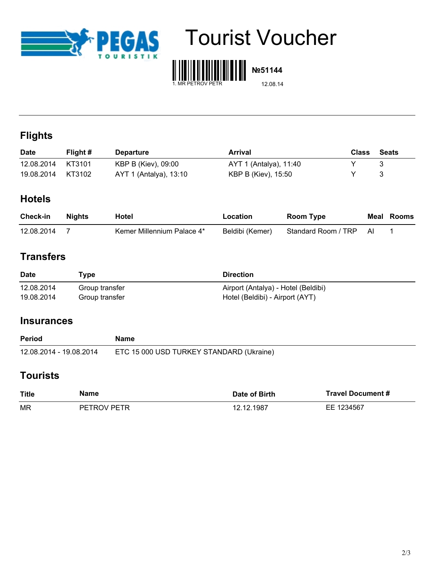



**№51144**

# **Flights**

| <b>Date</b> | Flight # | <b>Departure</b>       | Arrival                | Class | Seats |
|-------------|----------|------------------------|------------------------|-------|-------|
| 12.08.2014  | KT3101   | KBP B (Kiev), 09:00    | AYT 1 (Antalya), 11:40 |       |       |
| 19.08.2014  | KT3102   | AYT 1 (Antalya), 13:10 | KBP B (Kiev), 15:50    |       |       |

## **Hotels**

| <b>Check-in</b> | Niahts | Hotel                      | Location        | Room Type           |    | Meal Rooms |
|-----------------|--------|----------------------------|-----------------|---------------------|----|------------|
| 12.08.2014      |        | Kemer Millennium Palace 4* | Beldibi (Kemer) | Standard Room / TRP | Αl |            |

## **Transfers**

| <b>Date</b> | Type           | <b>Direction</b>                    |
|-------------|----------------|-------------------------------------|
| 12.08.2014  | Group transfer | Airport (Antalya) - Hotel (Beldibi) |
| 19.08.2014  | Group transfer | Hotel (Beldibi) - Airport (AYT)     |

#### **Insurances**

| <b>Period</b>           | Name                                     |
|-------------------------|------------------------------------------|
| 12.08.2014 - 19.08.2014 | ETC 15 000 USD TURKEY STANDARD (Ukraine) |

## **Tourists**

| Title | Name               | Date of Birth | <b>Travel Document #</b> |
|-------|--------------------|---------------|--------------------------|
| ΜR    | <b>PETROV PETR</b> | 12.12.1987    | EE 1234567               |